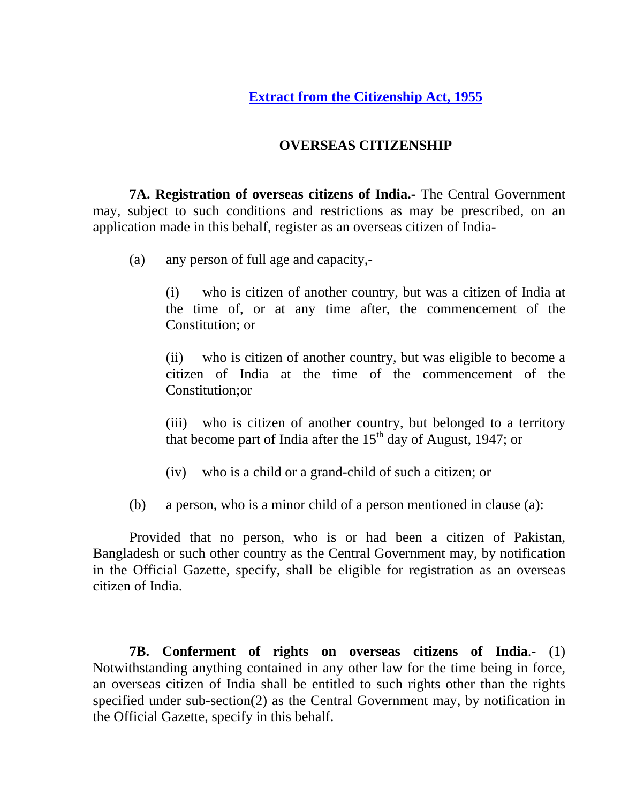**Extract from the Citizenship Act, 1955** 

## **OVERSEAS CITIZENSHIP**

 **7A. Registration of overseas citizens of India.-** The Central Government may, subject to such conditions and restrictions as may be prescribed, on an application made in this behalf, register as an overseas citizen of India-

(a) any person of full age and capacity,-

(i) who is citizen of another country, but was a citizen of India at the time of, or at any time after, the commencement of the Constitution; or

(ii) who is citizen of another country, but was eligible to become a citizen of India at the time of the commencement of the Constitution;or

(iii) who is citizen of another country, but belonged to a territory that become part of India after the  $15<sup>th</sup>$  day of August, 1947; or

- (iv) who is a child or a grand-child of such a citizen; or
- (b) a person, who is a minor child of a person mentioned in clause (a):

Provided that no person, who is or had been a citizen of Pakistan, Bangladesh or such other country as the Central Government may, by notification in the Official Gazette, specify, shall be eligible for registration as an overseas citizen of India.

**7B. Conferment of rights on overseas citizens of India**.- (1) Notwithstanding anything contained in any other law for the time being in force, an overseas citizen of India shall be entitled to such rights other than the rights specified under sub-section(2) as the Central Government may, by notification in the Official Gazette, specify in this behalf.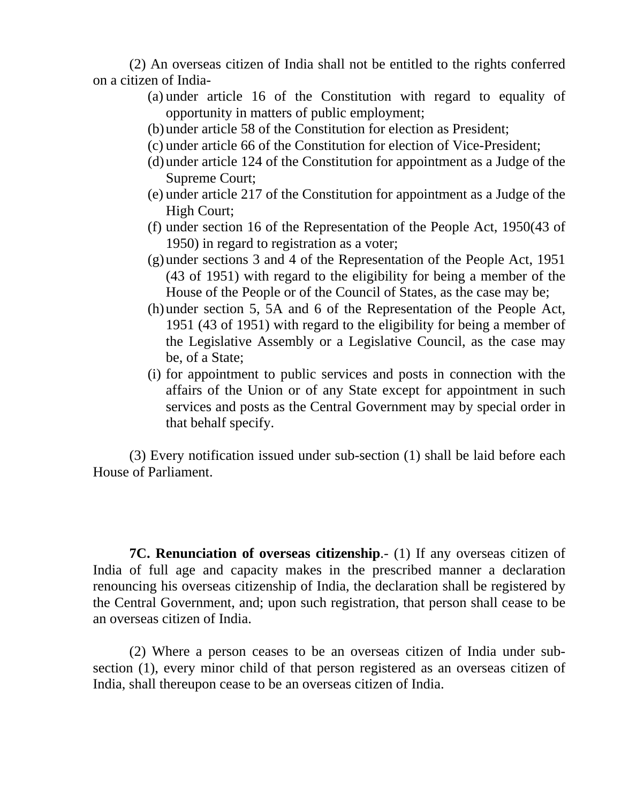(2) An overseas citizen of India shall not be entitled to the rights conferred on a citizen of India-

- (a) under article 16 of the Constitution with regard to equality of opportunity in matters of public employment;
- (b) under article 58 of the Constitution for election as President;
- (c) under article 66 of the Constitution for election of Vice-President;
- (d) under article 124 of the Constitution for appointment as a Judge of the Supreme Court;
- (e) under article 217 of the Constitution for appointment as a Judge of the High Court;
- (f) under section 16 of the Representation of the People Act, 1950(43 of 1950) in regard to registration as a voter;
- (g) under sections 3 and 4 of the Representation of the People Act, 1951 (43 of 1951) with regard to the eligibility for being a member of the House of the People or of the Council of States, as the case may be;
- (h) under section 5, 5A and 6 of the Representation of the People Act, 1951 (43 of 1951) with regard to the eligibility for being a member of the Legislative Assembly or a Legislative Council, as the case may be, of a State;
- (i) for appointment to public services and posts in connection with the affairs of the Union or of any State except for appointment in such services and posts as the Central Government may by special order in that behalf specify.

(3) Every notification issued under sub-section (1) shall be laid before each House of Parliament.

**7C. Renunciation of overseas citizenship**.- (1) If any overseas citizen of India of full age and capacity makes in the prescribed manner a declaration renouncing his overseas citizenship of India, the declaration shall be registered by the Central Government, and; upon such registration, that person shall cease to be an overseas citizen of India.

(2) Where a person ceases to be an overseas citizen of India under subsection (1), every minor child of that person registered as an overseas citizen of India, shall thereupon cease to be an overseas citizen of India.